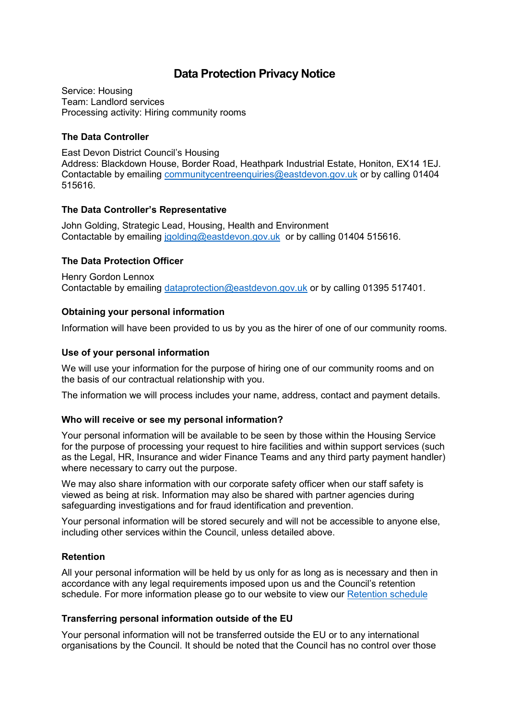# **Data Protection Privacy Notice**

Service: Housing Team: Landlord services Processing activity: Hiring community rooms

## **The Data Controller**

East Devon District Council's Housing Address: Blackdown House, Border Road, Heathpark Industrial Estate, Honiton, EX14 1EJ. Contactable by emailing [communitycentreenquiries@eastdevon.gov.uk](mailto:communitycentreenquiries@eastdevon.gov.uk) or by calling 01404 515616.

## **The Data Controller's Representative**

John Golding, Strategic Lead, Housing, Health and Environment Contactable by emailing [jgolding@eastdevon.gov.uk](mailto:jgolding@eastdevon.gov.uk) or by calling 01404 515616.

## **The Data Protection Officer**

Henry Gordon Lennox Contactable by emailing [dataprotection@eastdevon.gov.uk](mailto:dataprotection@eastdevon.gov.uk) or by calling 01395 517401.

## **Obtaining your personal information**

Information will have been provided to us by you as the hirer of one of our community rooms.

### **Use of your personal information**

We will use your information for the purpose of hiring one of our community rooms and on the basis of our contractual relationship with you.

The information we will process includes your name, address, contact and payment details.

### **Who will receive or see my personal information?**

Your personal information will be available to be seen by those within the Housing Service for the purpose of processing your request to hire facilities and within support services (such as the Legal, HR, Insurance and wider Finance Teams and any third party payment handler) where necessary to carry out the purpose.

We may also share information with our corporate safety officer when our staff safety is viewed as being at risk. Information may also be shared with partner agencies during safeguarding investigations and for fraud identification and prevention.

Your personal information will be stored securely and will not be accessible to anyone else, including other services within the Council, unless detailed above.

### **Retention**

All your personal information will be held by us only for as long as is necessary and then in accordance with any legal requirements imposed upon us and the Council's retention schedule. For more information please go to our website to view our [Retention schedule](http://eastdevon.gov.uk/access-to-information/data-protection/document-retention-schedules/)

### **Transferring personal information outside of the EU**

Your personal information will not be transferred outside the EU or to any international organisations by the Council. It should be noted that the Council has no control over those